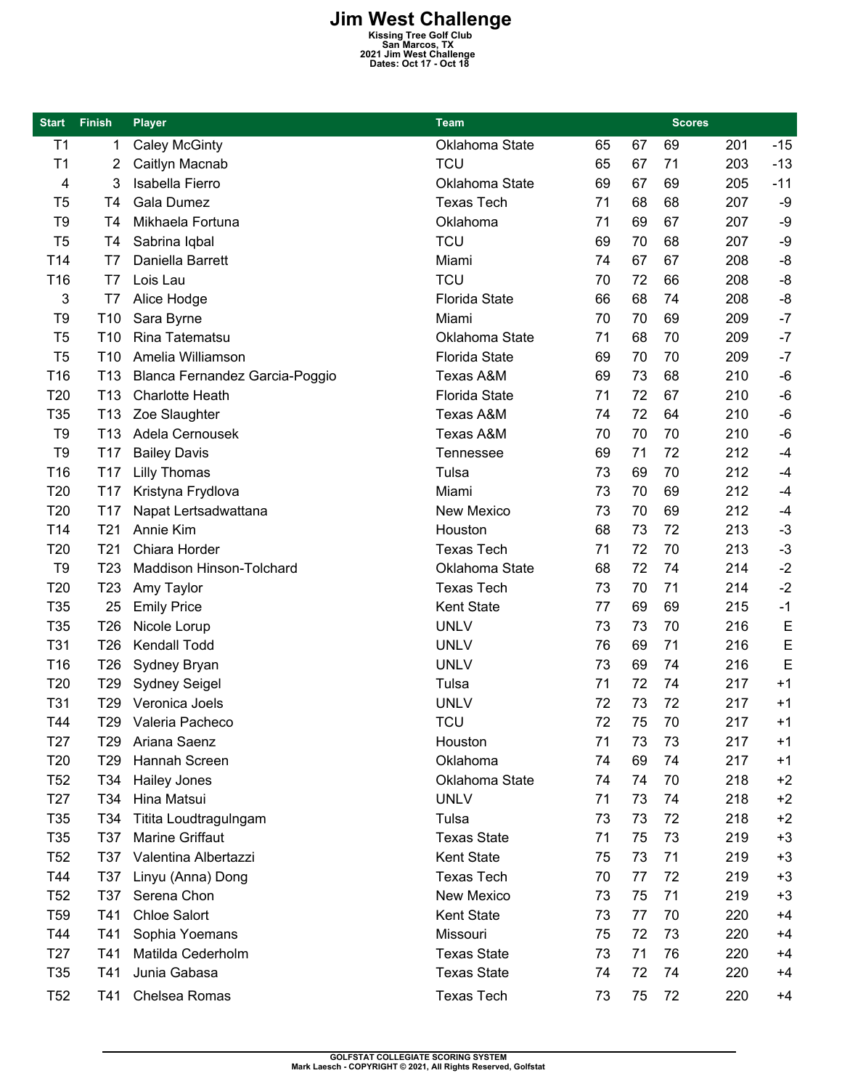## **Jim West Challenge**<br> **Kissing Tree Golf Club**<br> **San Marcos, TX**<br> **2021 Jim West Challenge**<br>
Dates: Oct 17 - Oct 18

| <b>Start</b>    | <b>Finish</b>   | <b>Player</b>                  | Team                 |    |    | <b>Scores</b> |     |       |
|-----------------|-----------------|--------------------------------|----------------------|----|----|---------------|-----|-------|
| T <sub>1</sub>  | 1               | <b>Caley McGinty</b>           | Oklahoma State       | 65 | 67 | 69            | 201 | $-15$ |
| T <sub>1</sub>  | 2               | Caitlyn Macnab                 | <b>TCU</b>           | 65 | 67 | 71            | 203 | $-13$ |
| 4               | 3               | Isabella Fierro                | Oklahoma State       | 69 | 67 | 69            | 205 | $-11$ |
| T <sub>5</sub>  | T <sub>4</sub>  | <b>Gala Dumez</b>              | <b>Texas Tech</b>    | 71 | 68 | 68            | 207 | -9    |
| T <sub>9</sub>  | T4              | Mikhaela Fortuna               | Oklahoma             | 71 | 69 | 67            | 207 | -9    |
| T <sub>5</sub>  | T4              | Sabrina Iqbal                  | <b>TCU</b>           | 69 | 70 | 68            | 207 | -9    |
| T14             | T7              | Daniella Barrett               | Miami                | 74 | 67 | 67            | 208 | -8    |
| T16             | T7              | Lois Lau                       | <b>TCU</b>           | 70 | 72 | 66            | 208 | -8    |
| 3               | T7              | Alice Hodge                    | <b>Florida State</b> | 66 | 68 | 74            | 208 | $-8$  |
| T9              | T <sub>10</sub> | Sara Byrne                     | Miami                | 70 | 70 | 69            | 209 | $-7$  |
| T <sub>5</sub>  | T <sub>10</sub> | Rina Tatematsu                 | Oklahoma State       | 71 | 68 | 70            | 209 | $-7$  |
| T <sub>5</sub>  | T <sub>10</sub> | Amelia Williamson              | <b>Florida State</b> | 69 | 70 | 70            | 209 | $-7$  |
| T16             | T <sub>13</sub> | Blanca Fernandez Garcia-Poggio | <b>Texas A&amp;M</b> | 69 | 73 | 68            | 210 | $-6$  |
| T20             | T <sub>13</sub> | <b>Charlotte Heath</b>         | Florida State        | 71 | 72 | 67            | 210 | $-6$  |
| T <sub>35</sub> | T <sub>13</sub> | Zoe Slaughter                  | Texas A&M            | 74 | 72 | 64            | 210 | $-6$  |
| T9              | T <sub>13</sub> | Adela Cernousek                | <b>Texas A&amp;M</b> | 70 | 70 | 70            | 210 | $-6$  |
| T <sub>9</sub>  | T <sub>17</sub> | <b>Bailey Davis</b>            | Tennessee            | 69 | 71 | 72            | 212 | $-4$  |
| T <sub>16</sub> | T17             | <b>Lilly Thomas</b>            | Tulsa                | 73 | 69 | 70            | 212 | $-4$  |
| T20             | T <sub>17</sub> | Kristyna Frydlova              | Miami                | 73 | 70 | 69            | 212 | $-4$  |
| T20             | T <sub>17</sub> | Napat Lertsadwattana           | <b>New Mexico</b>    | 73 | 70 | 69            | 212 | $-4$  |
| T14             | T <sub>21</sub> | Annie Kim                      | Houston              | 68 | 73 | 72            | 213 | $-3$  |
| T20             | T <sub>21</sub> | Chiara Horder                  | <b>Texas Tech</b>    | 71 | 72 | 70            | 213 | $-3$  |
| T <sub>9</sub>  | T <sub>23</sub> | Maddison Hinson-Tolchard       | Oklahoma State       | 68 | 72 | 74            | 214 | $-2$  |
| T20             | T <sub>23</sub> | Amy Taylor                     | <b>Texas Tech</b>    | 73 | 70 | 71            | 214 | $-2$  |
| T35             | 25              | <b>Emily Price</b>             | Kent State           | 77 | 69 | 69            | 215 | $-1$  |
| T35             | T <sub>26</sub> | Nicole Lorup                   | <b>UNLV</b>          | 73 | 73 | 70            | 216 | E     |
| T31             | T <sub>26</sub> | Kendall Todd                   | <b>UNLV</b>          | 76 | 69 | 71            | 216 | E     |
| T <sub>16</sub> | T <sub>26</sub> | Sydney Bryan                   | <b>UNLV</b>          | 73 | 69 | 74            | 216 | E     |
| T20             | T <sub>29</sub> | <b>Sydney Seigel</b>           | Tulsa                | 71 | 72 | 74            | 217 | $+1$  |
| T31             | T29             | Veronica Joels                 | <b>UNLV</b>          | 72 | 73 | 72            | 217 | $+1$  |
| T44             | T <sub>29</sub> | Valeria Pacheco                | <b>TCU</b>           | 72 | 75 | 70            | 217 | $+1$  |
| T <sub>27</sub> | T29             | Ariana Saenz                   | Houston              | 71 | 73 | 73            | 217 | $+1$  |
| T <sub>20</sub> | T <sub>29</sub> | Hannah Screen                  | Oklahoma             | 74 | 69 | 74            | 217 | $+1$  |
| T <sub>52</sub> | T34             | <b>Hailey Jones</b>            | Oklahoma State       | 74 | 74 | 70            | 218 | $+2$  |
| T <sub>27</sub> | T34             | Hina Matsui                    | <b>UNLV</b>          | 71 | 73 | 74            | 218 | $+2$  |
| T <sub>35</sub> | T34             | Titita Loudtragulngam          | Tulsa                | 73 | 73 | 72            | 218 | $+2$  |
| T35             | T37             | Marine Griffaut                | <b>Texas State</b>   | 71 | 75 | 73            | 219 | $+3$  |
| T <sub>52</sub> | T37             | Valentina Albertazzi           | Kent State           | 75 | 73 | 71            | 219 | $+3$  |
| T44             | T37             | Linyu (Anna) Dong              | <b>Texas Tech</b>    | 70 | 77 | 72            | 219 | $+3$  |
| T <sub>52</sub> | T37             | Serena Chon                    | New Mexico           | 73 | 75 | 71            | 219 | $+3$  |
| T <sub>59</sub> | T41             | <b>Chloe Salort</b>            | Kent State           | 73 | 77 | 70            | 220 | $+4$  |
| T44             | T41             | Sophia Yoemans                 | Missouri             | 75 | 72 | 73            | 220 | $+4$  |
| T <sub>27</sub> | T41             | Matilda Cederholm              | <b>Texas State</b>   | 73 | 71 | 76            | 220 | $+4$  |
| T <sub>35</sub> | T41             | Junia Gabasa                   | <b>Texas State</b>   | 74 | 72 | 74            | 220 | $+4$  |
| T <sub>52</sub> | T41             | Chelsea Romas                  | <b>Texas Tech</b>    | 73 | 75 | 72            | 220 | $+4$  |